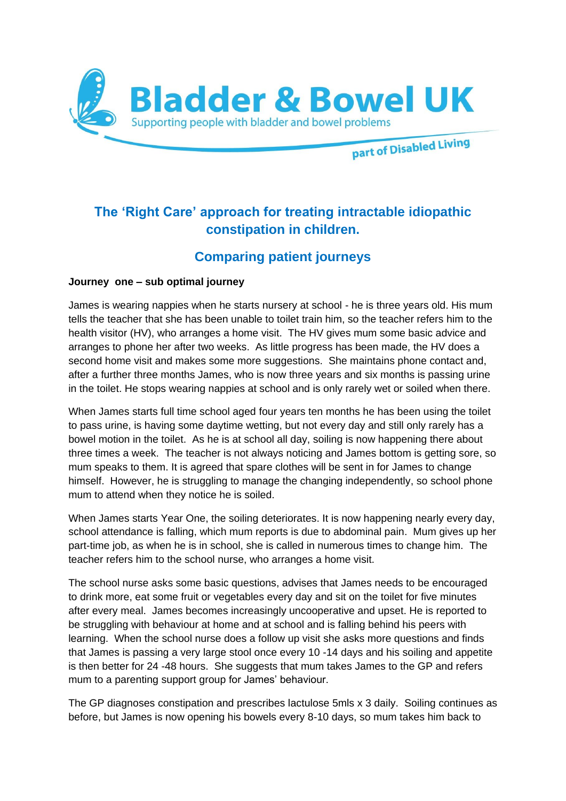

# **The 'Right Care' approach for treating intractable idiopathic constipation in children.**

# **Comparing patient journeys**

# **Journey one – sub optimal journey**

James is wearing nappies when he starts nursery at school - he is three years old. His mum tells the teacher that she has been unable to toilet train him, so the teacher refers him to the health visitor (HV), who arranges a home visit. The HV gives mum some basic advice and arranges to phone her after two weeks. As little progress has been made, the HV does a second home visit and makes some more suggestions. She maintains phone contact and, after a further three months James, who is now three years and six months is passing urine in the toilet. He stops wearing nappies at school and is only rarely wet or soiled when there.

When James starts full time school aged four years ten months he has been using the toilet to pass urine, is having some daytime wetting, but not every day and still only rarely has a bowel motion in the toilet. As he is at school all day, soiling is now happening there about three times a week. The teacher is not always noticing and James bottom is getting sore, so mum speaks to them. It is agreed that spare clothes will be sent in for James to change himself. However, he is struggling to manage the changing independently, so school phone mum to attend when they notice he is soiled.

When James starts Year One, the soiling deteriorates. It is now happening nearly every day, school attendance is falling, which mum reports is due to abdominal pain. Mum gives up her part-time job, as when he is in school, she is called in numerous times to change him. The teacher refers him to the school nurse, who arranges a home visit.

The school nurse asks some basic questions, advises that James needs to be encouraged to drink more, eat some fruit or vegetables every day and sit on the toilet for five minutes after every meal. James becomes increasingly uncooperative and upset. He is reported to be struggling with behaviour at home and at school and is falling behind his peers with learning. When the school nurse does a follow up visit she asks more questions and finds that James is passing a very large stool once every 10 -14 days and his soiling and appetite is then better for 24 -48 hours. She suggests that mum takes James to the GP and refers mum to a parenting support group for James' behaviour.

The GP diagnoses constipation and prescribes lactulose 5mls x 3 daily. Soiling continues as before, but James is now opening his bowels every 8-10 days, so mum takes him back to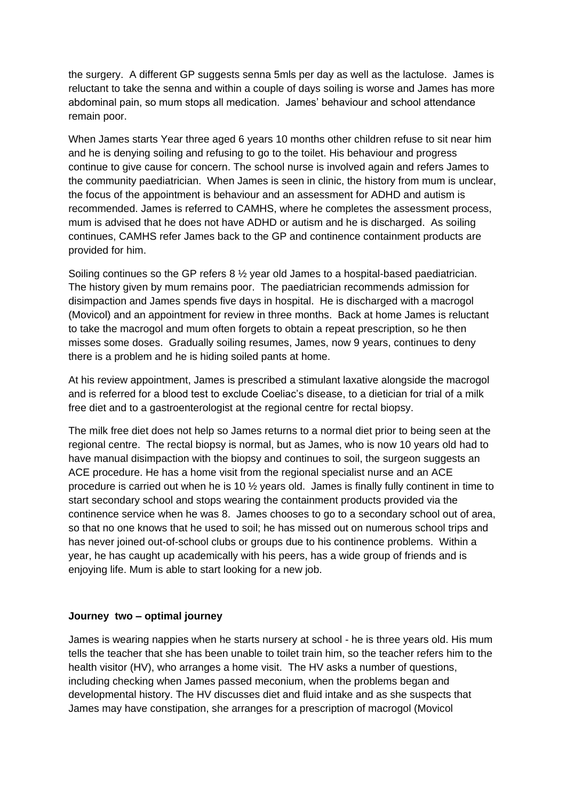the surgery. A different GP suggests senna 5mls per day as well as the lactulose. James is reluctant to take the senna and within a couple of days soiling is worse and James has more abdominal pain, so mum stops all medication. James' behaviour and school attendance remain poor.

When James starts Year three aged 6 years 10 months other children refuse to sit near him and he is denying soiling and refusing to go to the toilet. His behaviour and progress continue to give cause for concern. The school nurse is involved again and refers James to the community paediatrician. When James is seen in clinic, the history from mum is unclear, the focus of the appointment is behaviour and an assessment for ADHD and autism is recommended. James is referred to CAMHS, where he completes the assessment process, mum is advised that he does not have ADHD or autism and he is discharged. As soiling continues, CAMHS refer James back to the GP and continence containment products are provided for him.

Soiling continues so the GP refers 8 ½ year old James to a hospital-based paediatrician. The history given by mum remains poor. The paediatrician recommends admission for disimpaction and James spends five days in hospital. He is discharged with a macrogol (Movicol) and an appointment for review in three months. Back at home James is reluctant to take the macrogol and mum often forgets to obtain a repeat prescription, so he then misses some doses. Gradually soiling resumes, James, now 9 years, continues to deny there is a problem and he is hiding soiled pants at home.

At his review appointment, James is prescribed a stimulant laxative alongside the macrogol and is referred for a blood test to exclude Coeliac's disease, to a dietician for trial of a milk free diet and to a gastroenterologist at the regional centre for rectal biopsy.

The milk free diet does not help so James returns to a normal diet prior to being seen at the regional centre. The rectal biopsy is normal, but as James, who is now 10 years old had to have manual disimpaction with the biopsy and continues to soil, the surgeon suggests an ACE procedure. He has a home visit from the regional specialist nurse and an ACE procedure is carried out when he is 10  $\frac{1}{2}$  years old. James is finally fully continent in time to start secondary school and stops wearing the containment products provided via the continence service when he was 8. James chooses to go to a secondary school out of area, so that no one knows that he used to soil; he has missed out on numerous school trips and has never joined out-of-school clubs or groups due to his continence problems. Within a year, he has caught up academically with his peers, has a wide group of friends and is enjoying life. Mum is able to start looking for a new job.

### **Journey two – optimal journey**

James is wearing nappies when he starts nursery at school - he is three years old. His mum tells the teacher that she has been unable to toilet train him, so the teacher refers him to the health visitor (HV), who arranges a home visit. The HV asks a number of questions, including checking when James passed meconium, when the problems began and developmental history. The HV discusses diet and fluid intake and as she suspects that James may have constipation, she arranges for a prescription of macrogol (Movicol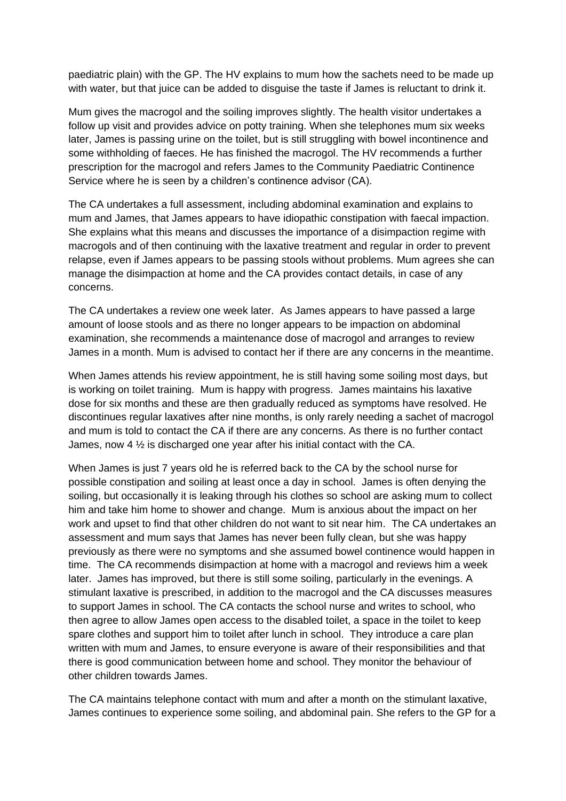paediatric plain) with the GP. The HV explains to mum how the sachets need to be made up with water, but that juice can be added to disguise the taste if James is reluctant to drink it.

Mum gives the macrogol and the soiling improves slightly. The health visitor undertakes a follow up visit and provides advice on potty training. When she telephones mum six weeks later, James is passing urine on the toilet, but is still struggling with bowel incontinence and some withholding of faeces. He has finished the macrogol. The HV recommends a further prescription for the macrogol and refers James to the Community Paediatric Continence Service where he is seen by a children's continence advisor (CA).

The CA undertakes a full assessment, including abdominal examination and explains to mum and James, that James appears to have idiopathic constipation with faecal impaction. She explains what this means and discusses the importance of a disimpaction regime with macrogols and of then continuing with the laxative treatment and regular in order to prevent relapse, even if James appears to be passing stools without problems. Mum agrees she can manage the disimpaction at home and the CA provides contact details, in case of any concerns.

The CA undertakes a review one week later. As James appears to have passed a large amount of loose stools and as there no longer appears to be impaction on abdominal examination, she recommends a maintenance dose of macrogol and arranges to review James in a month. Mum is advised to contact her if there are any concerns in the meantime.

When James attends his review appointment, he is still having some soiling most days, but is working on toilet training. Mum is happy with progress. James maintains his laxative dose for six months and these are then gradually reduced as symptoms have resolved. He discontinues regular laxatives after nine months, is only rarely needing a sachet of macrogol and mum is told to contact the CA if there are any concerns. As there is no further contact James, now 4 ½ is discharged one year after his initial contact with the CA.

When James is just 7 years old he is referred back to the CA by the school nurse for possible constipation and soiling at least once a day in school. James is often denying the soiling, but occasionally it is leaking through his clothes so school are asking mum to collect him and take him home to shower and change. Mum is anxious about the impact on her work and upset to find that other children do not want to sit near him. The CA undertakes an assessment and mum says that James has never been fully clean, but she was happy previously as there were no symptoms and she assumed bowel continence would happen in time. The CA recommends disimpaction at home with a macrogol and reviews him a week later. James has improved, but there is still some soiling, particularly in the evenings. A stimulant laxative is prescribed, in addition to the macrogol and the CA discusses measures to support James in school. The CA contacts the school nurse and writes to school, who then agree to allow James open access to the disabled toilet, a space in the toilet to keep spare clothes and support him to toilet after lunch in school. They introduce a care plan written with mum and James, to ensure everyone is aware of their responsibilities and that there is good communication between home and school. They monitor the behaviour of other children towards James.

The CA maintains telephone contact with mum and after a month on the stimulant laxative, James continues to experience some soiling, and abdominal pain. She refers to the GP for a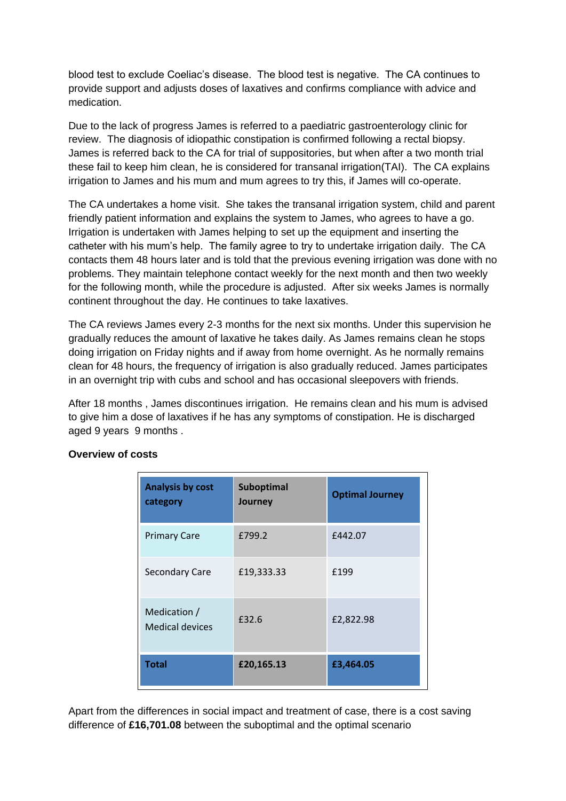blood test to exclude Coeliac's disease. The blood test is negative. The CA continues to provide support and adjusts doses of laxatives and confirms compliance with advice and medication.

Due to the lack of progress James is referred to a paediatric gastroenterology clinic for review. The diagnosis of idiopathic constipation is confirmed following a rectal biopsy. James is referred back to the CA for trial of suppositories, but when after a two month trial these fail to keep him clean, he is considered for transanal irrigation(TAI). The CA explains irrigation to James and his mum and mum agrees to try this, if James will co-operate.

The CA undertakes a home visit. She takes the transanal irrigation system, child and parent friendly patient information and explains the system to James, who agrees to have a go. Irrigation is undertaken with James helping to set up the equipment and inserting the catheter with his mum's help. The family agree to try to undertake irrigation daily. The CA contacts them 48 hours later and is told that the previous evening irrigation was done with no problems. They maintain telephone contact weekly for the next month and then two weekly for the following month, while the procedure is adjusted. After six weeks James is normally continent throughout the day. He continues to take laxatives.

The CA reviews James every 2-3 months for the next six months. Under this supervision he gradually reduces the amount of laxative he takes daily. As James remains clean he stops doing irrigation on Friday nights and if away from home overnight. As he normally remains clean for 48 hours, the frequency of irrigation is also gradually reduced. James participates in an overnight trip with cubs and school and has occasional sleepovers with friends.

After 18 months , James discontinues irrigation. He remains clean and his mum is advised to give him a dose of laxatives if he has any symptoms of constipation. He is discharged aged 9 years 9 months .

| <b>Analysis by cost</b><br>category    | <b>Suboptimal</b><br>Journey | <b>Optimal Journey</b> |
|----------------------------------------|------------------------------|------------------------|
| <b>Primary Care</b>                    | £799.2                       | £442.07                |
| <b>Secondary Care</b>                  | £19,333.33                   | £199                   |
| Medication /<br><b>Medical devices</b> | £32.6                        | £2,822.98              |
| <b>Total</b>                           | £20,165.13                   | £3,464.05              |

# **Overview of costs**

Apart from the differences in social impact and treatment of case, there is a cost saving difference of **£16,701.08** between the suboptimal and the optimal scenario